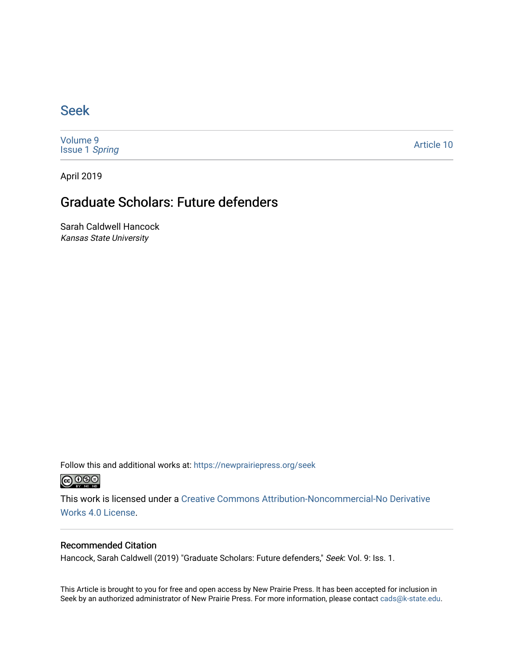## [Seek](https://newprairiepress.org/seek)

[Volume 9](https://newprairiepress.org/seek/vol9) [Issue 1](https://newprairiepress.org/seek/vol9/iss1) Spring

[Article 10](https://newprairiepress.org/seek/vol9/iss1/10) 

April 2019

## Graduate Scholars: Future defenders

Sarah Caldwell Hancock Kansas State University

Follow this and additional works at: [https://newprairiepress.org/seek](https://newprairiepress.org/seek?utm_source=newprairiepress.org%2Fseek%2Fvol9%2Fiss1%2F10&utm_medium=PDF&utm_campaign=PDFCoverPages)



This work is licensed under a [Creative Commons Attribution-Noncommercial-No Derivative](https://creativecommons.org/licenses/by-nc-nd/4.0/)  [Works 4.0 License](https://creativecommons.org/licenses/by-nc-nd/4.0/).

#### Recommended Citation

Hancock, Sarah Caldwell (2019) "Graduate Scholars: Future defenders," Seek: Vol. 9: Iss. 1.

This Article is brought to you for free and open access by New Prairie Press. It has been accepted for inclusion in Seek by an authorized administrator of New Prairie Press. For more information, please contact [cads@k-state.edu](mailto:cads@k-state.edu).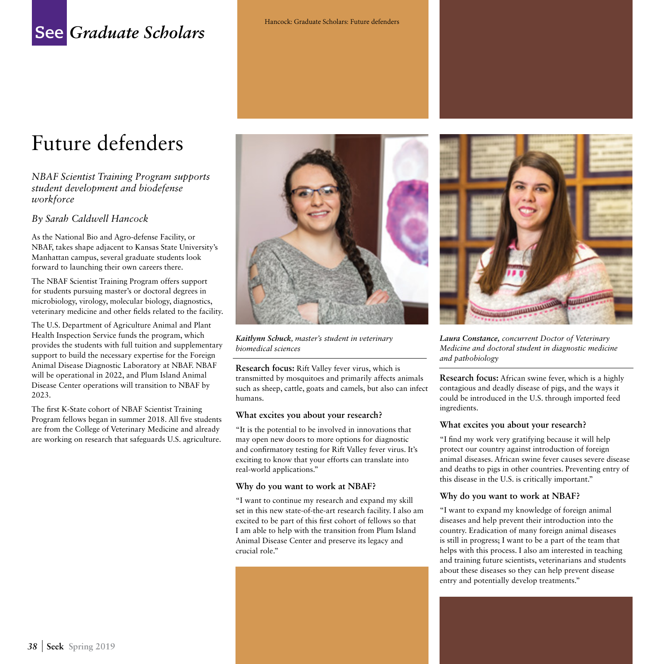## **See** *Graduate Scholars*

# Future defenders

*NBAF Scientist Training Program supports student development and biodefense workforce* 

#### *By Sarah Caldwell Hancock*

As the National Bio and Agro-defense Facility, or NBAF, takes shape adjacent to Kansas State University's Manhattan campus, several graduate students look forward to launching their own careers there.

The NBAF Scientist Training Program offers support for students pursuing master's or doctoral degrees in microbiology, virology, molecular biology, diagnostics, veterinary medicine and other fields related to the facility.

The U.S. Department of Agriculture Animal and Plant Health Inspection Service funds the program, which provides the students with full tuition and supplementary support to build the necessary expertise for the Foreign Animal Disease Diagnostic Laboratory at NBAF. NBAF will be operational in 2022, and Plum Island Animal Disease Center operations will transition to NBAF by 2023.

The first K-State cohort of NBAF Scientist Training Program fellows began in summer 2018. All five students are from the College of Veterinary Medicine and already are working on research that safeguards U.S. agriculture.



*Kaitlynn Schuck, master's student in veterinary biomedical sciences*

**Research focus:** Rift Valley fever virus, which is transmitted by mosquitoes and primarily affects animals such as sheep, cattle, goats and camels, but also can infect humans.

#### **What excites you about your research?**

"It is the potential to be involved in innovations that may open new doors to more options for diagnostic and confirmatory testing for Rift Valley fever virus. It's exciting to know that your efforts can translate into real-world applications."

#### **Why do you want to work at NBAF?**

"I want to continue my research and expand my skill set in this new state-of-the-art research facility. I also am excited to be part of this first cohort of fellows so that I am able to help with the transition from Plum Island Animal Disease Center and preserve its legacy and crucial role."



*Laura Constance, concurrent Doctor of Veterinary Medicine and doctoral student in diagnostic medicine and pathobiology*

**Research focus:** African swine fever, which is a highly contagious and deadly disease of pigs, and the ways it could be introduced in the U.S. through imported feed ingredients.

#### **What excites you about your research?**

"I find my work very gratifying because it will help protect our country against introduction of foreign animal diseases. African swine fever causes severe disease and deaths to pigs in other countries. Preventing entry of this disease in the U.S. is critically important."

#### **Why do you want to work at NBAF?**

"I want to expand my knowledge of foreign animal diseases and help prevent their introduction into the country. Eradication of many foreign animal diseases is still in progress; I want to be a part of the team that helps with this process. I also am interested in teaching and training future scientists, veterinarians and students about these diseases so they can help prevent disease entry and potentially develop treatments."